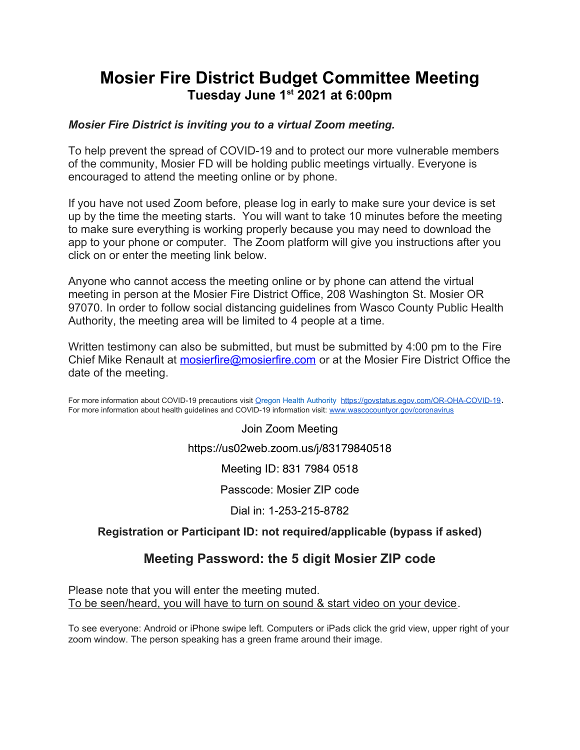# **Mosier Fire District Budget Committee Meeting Tuesday June 1st 2021 at 6:00pm**

### *Mosier Fire District is inviting you to a virtual Zoom meeting.*

To help prevent the spread of COVID-19 and to protect our more vulnerable members of the community, Mosier FD will be holding public meetings virtually. Everyone is encouraged to attend the meeting online or by phone.

If you have not used Zoom before, please log in early to make sure your device is set up by the time the meeting starts. You will want to take 10 minutes before the meeting to make sure everything is working properly because you may need to download the app to your phone or computer. The Zoom platform will give you instructions after you click on or enter the meeting link below.

Anyone who cannot access the meeting online or by phone can attend the virtual meeting in person at the Mosier Fire District Office, 208 Washington St. Mosier OR 97070. In order to follow social distancing guidelines from Wasco County Public Health Authority, the meeting area will be limited to 4 people at a time.

Written testimony can also be submitted, but must be submitted by 4:00 pm to the Fire Chief Mike Renault at mosierfire@mosierfire.com or at the Mosier Fire District Office the date of the meeting.

For more information about COVID-19 precautions visit Oregon Health Authority https://govstatus.egov.com/OR-OHA-COVID-19. For more information about health guidelines and COVID-19 information visit: www.wascocountyor.gov/coronavirus

> Join Zoom Meeting https://us02web.zoom.us/j/83179840518

> > Meeting ID: 831 7984 0518

Passcode: Mosier ZIP code

Dial in: 1-253-215-8782

### **Registration or Participant ID: not required/applicable (bypass if asked)**

## **Meeting Password: the 5 digit Mosier ZIP code**

Please note that you will enter the meeting muted. To be seen/heard, you will have to turn on sound & start video on your device.

To see everyone: Android or iPhone swipe left. Computers or iPads click the grid view, upper right of your zoom window. The person speaking has a green frame around their image.